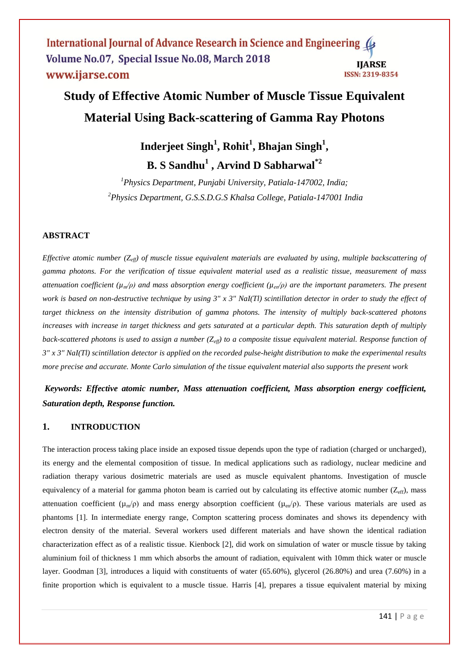International Journal of Advance Research in Science and Engineering Volume No.07, Special Issue No.08, March 2018 **IJARSE** www.ijarse.com **ISSN: 2319-8354** 

# **Study of Effective Atomic Number of Muscle Tissue Equivalent Material Using Back-scattering of Gamma Ray Photons**

**Inderjeet Singh<sup>1</sup> , Rohit<sup>1</sup> , Bhajan Singh<sup>1</sup> , B. S Sandhu<sup>1</sup> , Arvind D Sabharwal\*2**

*<sup>1</sup>Physics Department, Punjabi University, Patiala-147002, India; <sup>2</sup>Physics Department, G.S.S.D.G.S Khalsa College, Patiala-147001 India*

# **ABSTRACT**

*Effective atomic number (Zeff) of muscle tissue equivalent materials are evaluated by using, multiple backscattering of gamma photons. For the verification of tissue equivalent material used as a realistic tissue, measurement of mass attenuation coefficient*  $(\mu_m/\rho)$  *and mass absorption energy coefficient*  $(\mu_m/\rho)$  *are the important parameters. The present work is based on non-destructive technique by using 3" x 3" NaI(Tl) scintillation detector in order to study the effect of target thickness on the intensity distribution of gamma photons. The intensity of multiply back-scattered photons increases with increase in target thickness and gets saturated at a particular depth. This saturation depth of multiply back-scattered photons is used to assign a number (Zeff) to a composite tissue equivalent material. Response function of 3" x 3" NaI(Tl) scintillation detector is applied on the recorded pulse-height distribution to make the experimental results more precise and accurate. Monte Carlo simulation of the tissue equivalent material also supports the present work*

# *Keywords: Effective atomic number, Mass attenuation coefficient, Mass absorption energy coefficient, Saturation depth, Response function.*

# **1. INTRODUCTION**

The interaction process taking place inside an exposed tissue depends upon the type of radiation (charged or uncharged), its energy and the elemental composition of tissue. In medical applications such as radiology, nuclear medicine and radiation therapy various dosimetric materials are used as muscle equivalent phantoms. Investigation of muscle equivalency of a material for gamma photon beam is carried out by calculating its effective atomic number  $(Z_{eff})$ , mass attenuation coefficient ( $\mu_m/\rho$ ) and mass energy absorption coefficient ( $\mu_{en}/\rho$ ). These various materials are used as phantoms [1]. In intermediate energy range, Compton scattering process dominates and shows its dependency with electron density of the material. Several workers used different materials and have shown the identical radiation characterization effect as of a realistic tissue. Kienbock [2], did work on simulation of water or muscle tissue by taking aluminium foil of thickness 1 mm which absorbs the amount of radiation, equivalent with 10mm thick water or muscle layer. Goodman [3], introduces a liquid with constituents of water (65.60%), glycerol (26.80%) and urea (7.60%) in a finite proportion which is equivalent to a muscle tissue. Harris [4], prepares a tissue equivalent material by mixing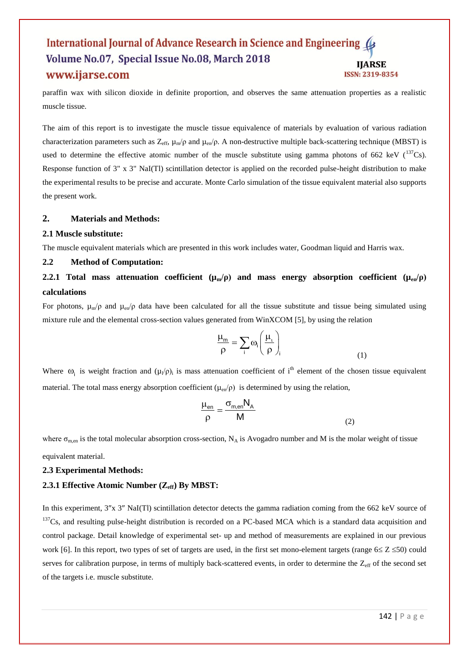#### International Journal of Advance Research in Science and Engineering Volume No.07, Special Issue No.08, March 2018 **IJARSE** www.ijarse.com **ISSN: 2319-8354**

paraffin wax with silicon dioxide in definite proportion, and observes the same attenuation properties as a realistic muscle tissue.

The aim of this report is to investigate the muscle tissue equivalence of materials by evaluation of various radiation characterization parameters such as  $Z_{\text{eff}}$ ,  $\mu_{\text{m}}/\rho$  and  $\mu_{\text{en}}/\rho$ . A non-destructive multiple back-scattering technique (MBST) is used to determine the effective atomic number of the muscle substitute using gamma photons of 662 keV  $(^{137}Cs)$ . Response function of 3" x 3" NaI(Tl) scintillation detector is applied on the recorded pulse-height distribution to make the experimental results to be precise and accurate. Monte Carlo simulation of the tissue equivalent material also supports the present work.

#### **2. Materials and Methods:**

#### **2.1 Muscle substitute:**

The muscle equivalent materials which are presented in this work includes water, Goodman liquid and Harris wax.

#### **2.2 Method of Computation:**

# **2.2.1 Total mass attenuation coefficient**  $(\mu_m/\rho)$  **and mass energy absorption coefficient**  $(\mu_{en}/\rho)$ **calculations**

For photons,  $\mu_{m}/\rho$  and  $\mu_{en}/\rho$  data have been calculated for all the tissue substitute and tissue being simulated using mixture rule and the elemental cross-section values generated from WinXCOM [5], by using the relation

$$
\frac{\mu_m}{\rho} = \sum_i \omega_i \left( \frac{\mu_i}{\rho} \right)_i
$$

(1)

Where  $\omega_i$  is weight fraction and  $(\mu_i/\rho)_i$  is mass attenuation coefficient of i<sup>th</sup> element of the chosen tissue equivalent material. The total mass energy absorption coefficient ( $\mu_{en}/\rho$ ) is determined by using the relation,

$$
\frac{\mu_{en}}{\rho} = \frac{\sigma_{m,en} N_A}{M}
$$
 (2)

where  $\sigma_{m,en}$  is the total molecular absorption cross-section, N<sub>A</sub> is Avogadro number and M is the molar weight of tissue equivalent material.

#### **2.3 Experimental Methods:**

#### **2.3.1 Effective Atomic Number (Zeff) By MBST:**

In this experiment, 3"x 3" NaI(Tl) scintillation detector detects the gamma radiation coming from the 662 keV source of  $137Cs$ , and resulting pulse-height distribution is recorded on a PC-based MCA which is a standard data acquisition and control package. Detail knowledge of experimental set- up and method of measurements are explained in our previous work [6]. In this report, two types of set of targets are used, in the first set mono-element targets (range  $6 \le Z \le 50$ ) could serves for calibration purpose, in terms of multiply back-scattered events, in order to determine the  $Z_{\text{eff}}$  of the second set of the targets i.e. muscle substitute.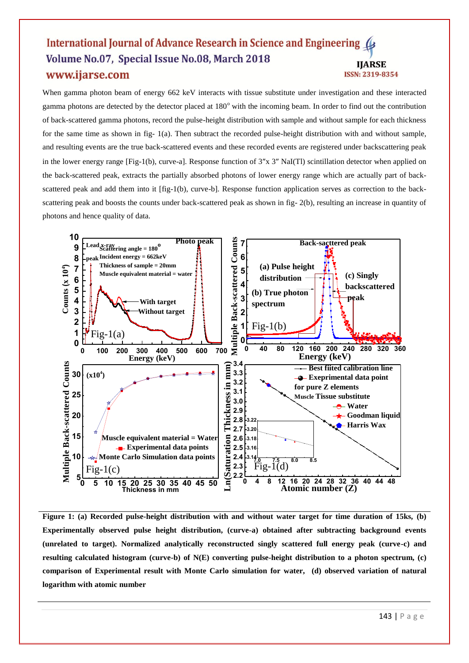#### International Journal of Advance Research in Science and Engineering ( Volume No.07, Special Issue No.08, March 2018 **IJARSE** www.ijarse.com **ISSN: 2319-8354**

When gamma photon beam of energy 662 keV interacts with tissue substitute under investigation and these interacted gamma photons are detected by the detector placed at  $180^\circ$  with the incoming beam. In order to find out the contribution of back-scattered gamma photons, record the pulse-height distribution with sample and without sample for each thickness for the same time as shown in fig- 1(a). Then subtract the recorded pulse-height distribution with and without sample, and resulting events are the true back-scattered events and these recorded events are registered under backscattering peak in the lower energy range [Fig-1(b), curve-a]. Response function of  $3''x$   $3''$  NaI(Tl) scintillation detector when applied on the back-scattered peak, extracts the partially absorbed photons of lower energy range which are actually part of backscattered peak and add them into it [fig-1(b), curve-b]. Response function application serves as correction to the backscattering peak and boosts the counts under back-scattered peak as shown in fig- 2(b), resulting an increase in quantity of photons and hence quality of data.



**Figure 1: (a) Recorded pulse-height distribution with and without water target for time duration of 15ks, (b) Experimentally observed pulse height distribution, (curve-a) obtained after subtracting background events (unrelated to target). Normalized analytically reconstructed singly scattered full energy peak (curve-c) and resulting calculated histogram (curve-b) of N(E) converting pulse-height distribution to a photon spectrum, (c) comparison of Experimental result with Monte Carlo simulation for water, (d) observed variation of natural logarithm with atomic number**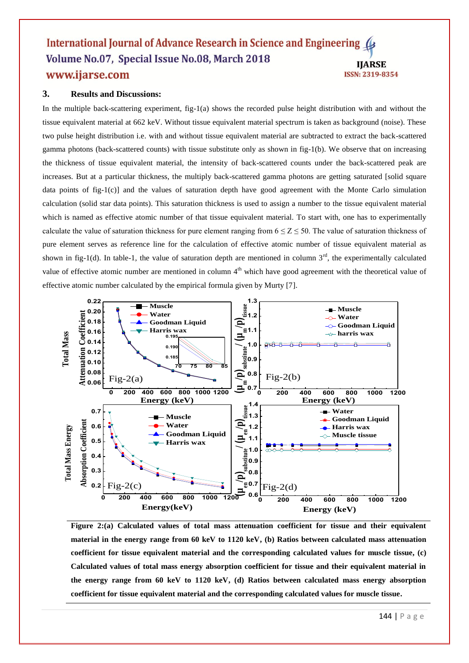#### International Journal of Advance Research in Science and Engineering ( Volume No.07, Special Issue No.08, March 2018 **IJARSE** www.ijarse.com **ISSN: 2319-8354**

## **3. Results and Discussions:**

In the multiple back-scattering experiment, fig-1(a) shows the recorded pulse height distribution with and without the tissue equivalent material at 662 keV. Without tissue equivalent material spectrum is taken as background (noise). These two pulse height distribution i.e. with and without tissue equivalent material are subtracted to extract the back-scattered gamma photons (back-scattered counts) with tissue substitute only as shown in fig-1(b). We observe that on increasing the thickness of tissue equivalent material, the intensity of back-scattered counts under the back-scattered peak are increases. But at a particular thickness, the multiply back-scattered gamma photons are getting saturated [solid square data points of fig-1(c)] and the values of saturation depth have good agreement with the Monte Carlo simulation calculation (solid star data points). This saturation thickness is used to assign a number to the tissue equivalent material which is named as effective atomic number of that tissue equivalent material. To start with, one has to experimentally calculate the value of saturation thickness for pure element ranging from  $6 \le Z \le 50$ . The value of saturation thickness of pure element serves as reference line for the calculation of effective atomic number of tissue equivalent material as shown in fig-1(d). In table-1, the value of saturation depth are mentioned in column  $3<sup>rd</sup>$ , the experimentally calculated value of effective atomic number are mentioned in column  $4<sup>th</sup>$  which have good agreement with the theoretical value of effective atomic number calculated by the empirical formula given by Murty [7].



**Figure 2:(a) Calculated values of total mass attenuation coefficient for tissue and their equivalent material in the energy range from 60 keV to 1120 keV, (b) Ratios between calculated mass attenuation coefficient for tissue equivalent material and the corresponding calculated values for muscle tissue, (c) Calculated values of total mass energy absorption coefficient for tissue and their equivalent material in the energy range from 60 keV to 1120 keV, (d) Ratios between calculated mass energy absorption coefficient for tissue equivalent material and the corresponding calculated values for muscle tissue.**